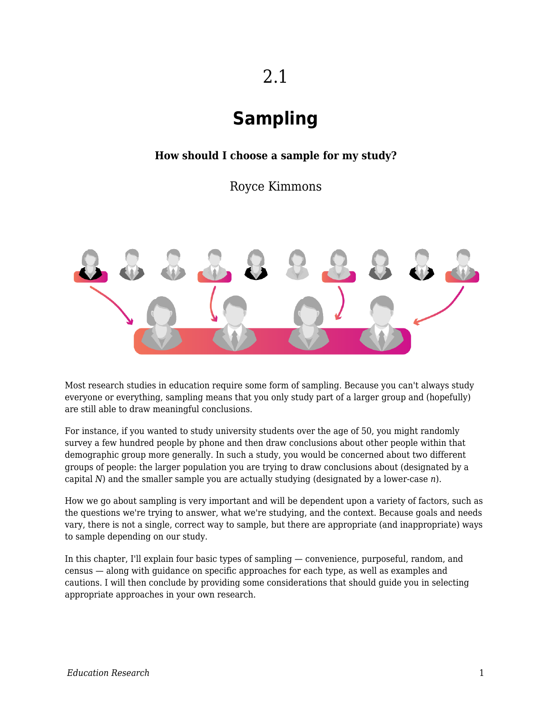# 2.1

# **Sampling**

### **How should I choose a sample for my study?**

Royce Kimmons



Most research studies in education require some form of sampling. Because you can't always study everyone or everything, sampling means that you only study part of a larger group and (hopefully) are still able to draw meaningful conclusions.

For instance, if you wanted to study university students over the age of 50, you might randomly survey a few hundred people by phone and then draw conclusions about other people within that demographic group more generally. In such a study, you would be concerned about two different groups of people: the larger population you are trying to draw conclusions about (designated by a capital *N*) and the smaller sample you are actually studying (designated by a lower-case *n*).

How we go about sampling is very important and will be dependent upon a variety of factors, such as the questions we're trying to answer, what we're studying, and the context. Because goals and needs vary, there is not a single, correct way to sample, but there are appropriate (and inappropriate) ways to sample depending on our study.

In this chapter, I'll explain four basic types of sampling — convenience, purposeful, random, and census — along with guidance on specific approaches for each type, as well as examples and cautions. I will then conclude by providing some considerations that should guide you in selecting appropriate approaches in your own research.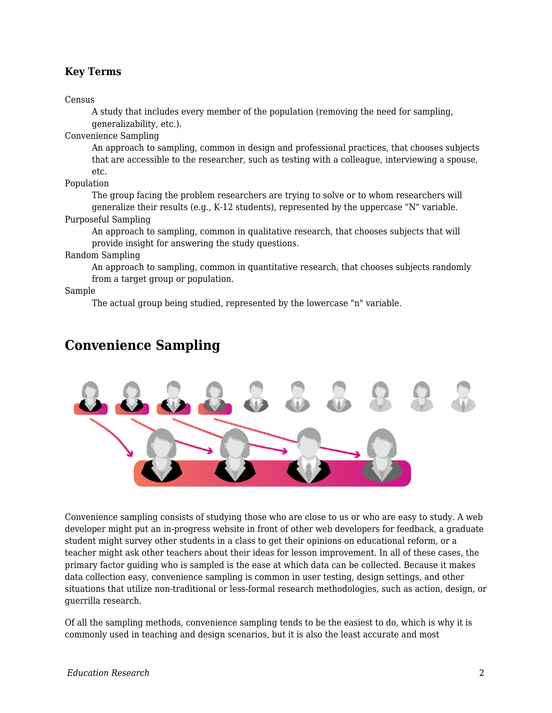### **Key Terms**

Census

A study that includes every member of the population (removing the need for sampling, generalizability, etc.).

Convenience Sampling

An approach to sampling, common in design and professional practices, that chooses subjects that are accessible to the researcher, such as testing with a colleague, interviewing a spouse, etc.

Population

The group facing the problem researchers are trying to solve or to whom researchers will generalize their results (e.g., K-12 students), represented by the uppercase "N" variable. Purposeful Sampling

An approach to sampling, common in qualitative research, that chooses subjects that will provide insight for answering the study questions.

Random Sampling

An approach to sampling, common in quantitative research, that chooses subjects randomly from a target group or population.

Sample

The actual group being studied, represented by the lowercase "n" variable.

### **Convenience Sampling**



Convenience sampling consists of studying those who are close to us or who are easy to study. A web developer might put an in-progress website in front of other web developers for feedback, a graduate student might survey other students in a class to get their opinions on educational reform, or a teacher might ask other teachers about their ideas for lesson improvement. In all of these cases, the primary factor guiding who is sampled is the ease at which data can be collected. Because it makes data collection easy, convenience sampling is common in user testing, design settings, and other situations that utilize non-traditional or less-formal research methodologies, such as action, design, or guerrilla research.

Of all the sampling methods, convenience sampling tends to be the easiest to do, which is why it is commonly used in teaching and design scenarios, but it is also the least accurate and most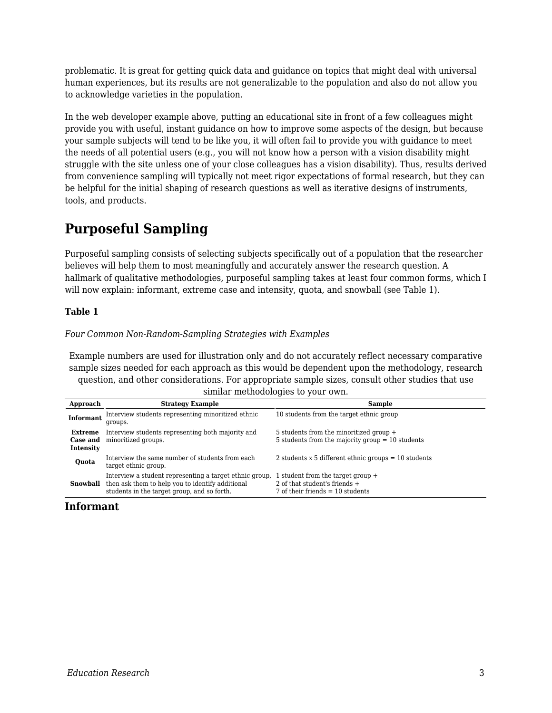problematic. It is great for getting quick data and guidance on topics that might deal with universal human experiences, but its results are not generalizable to the population and also do not allow you to acknowledge varieties in the population.

In the web developer example above, putting an educational site in front of a few colleagues might provide you with useful, instant guidance on how to improve some aspects of the design, but because your sample subjects will tend to be like you, it will often fail to provide you with guidance to meet the needs of all potential users (e.g., you will not know how a person with a vision disability might struggle with the site unless one of your close colleagues has a vision disability). Thus, results derived from convenience sampling will typically not meet rigor expectations of formal research, but they can be helpful for the initial shaping of research questions as well as iterative designs of instruments, tools, and products.

### **Purposeful Sampling**

Purposeful sampling consists of selecting subjects specifically out of a population that the researcher believes will help them to most meaningfully and accurately answer the research question. A hallmark of qualitative methodologies, purposeful sampling takes at least four common forms, which I will now explain: informant, extreme case and intensity, quota, and snowball (see Table 1).

### **Table 1**

#### *Four Common Non-Random-Sampling Strategies with Examples*

Example numbers are used for illustration only and do not accurately reflect necessary comparative sample sizes needed for each approach as this would be dependent upon the methodology, research question, and other considerations. For appropriate sample sizes, consult other studies that use similar methodologies to your own.

| Approach                                | <b>Strategy Example</b>                                                                                                                                    | <b>Sample</b>                                                                                          |  |
|-----------------------------------------|------------------------------------------------------------------------------------------------------------------------------------------------------------|--------------------------------------------------------------------------------------------------------|--|
| <b>Informant</b>                        | Interview students representing minoritized ethnic<br>groups.                                                                                              | 10 students from the target ethnic group                                                               |  |
| <b>Extreme</b><br>Case and<br>Intensity | Interview students representing both majority and<br>minoritized groups.                                                                                   | 5 students from the minoritized group +<br>5 students from the majority group $= 10$ students          |  |
| Quota                                   | Interview the same number of students from each<br>target ethnic group.                                                                                    | 2 students x 5 different ethnic groups $=$ 10 students                                                 |  |
| Snowball                                | Interview a student representing a target ethnic group,<br>then ask them to help you to identify additional<br>students in the target group, and so forth. | student from the target group +<br>2 of that student's friends +<br>7 of their friends $=$ 10 students |  |

### **Informant**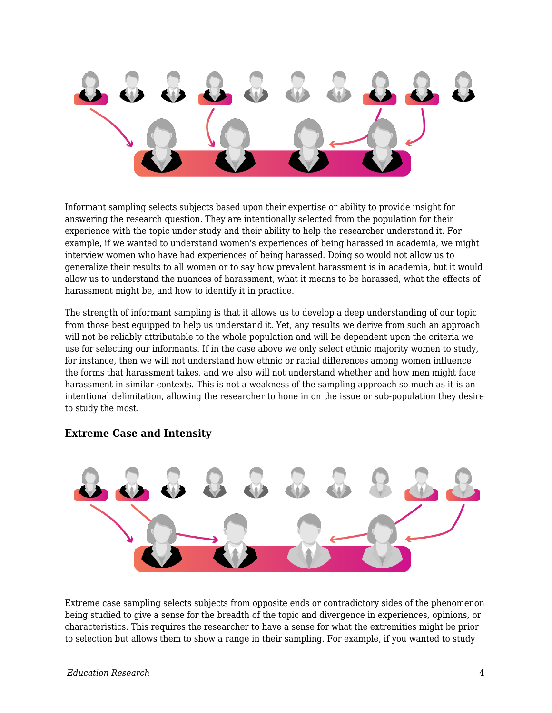

Informant sampling selects subjects based upon their expertise or ability to provide insight for answering the research question. They are intentionally selected from the population for their experience with the topic under study and their ability to help the researcher understand it. For example, if we wanted to understand women's experiences of being harassed in academia, we might interview women who have had experiences of being harassed. Doing so would not allow us to generalize their results to all women or to say how prevalent harassment is in academia, but it would allow us to understand the nuances of harassment, what it means to be harassed, what the effects of harassment might be, and how to identify it in practice.

The strength of informant sampling is that it allows us to develop a deep understanding of our topic from those best equipped to help us understand it. Yet, any results we derive from such an approach will not be reliably attributable to the whole population and will be dependent upon the criteria we use for selecting our informants. If in the case above we only select ethnic majority women to study, for instance, then we will not understand how ethnic or racial differences among women influence the forms that harassment takes, and we also will not understand whether and how men might face harassment in similar contexts. This is not a weakness of the sampling approach so much as it is an intentional delimitation, allowing the researcher to hone in on the issue or sub-population they desire to study the most.

### **Extreme Case and Intensity**

Extreme case sampling selects subjects from opposite ends or contradictory sides of the phenomenon being studied to give a sense for the breadth of the topic and divergence in experiences, opinions, or characteristics. This requires the researcher to have a sense for what the extremities might be prior to selection but allows them to show a range in their sampling. For example, if you wanted to study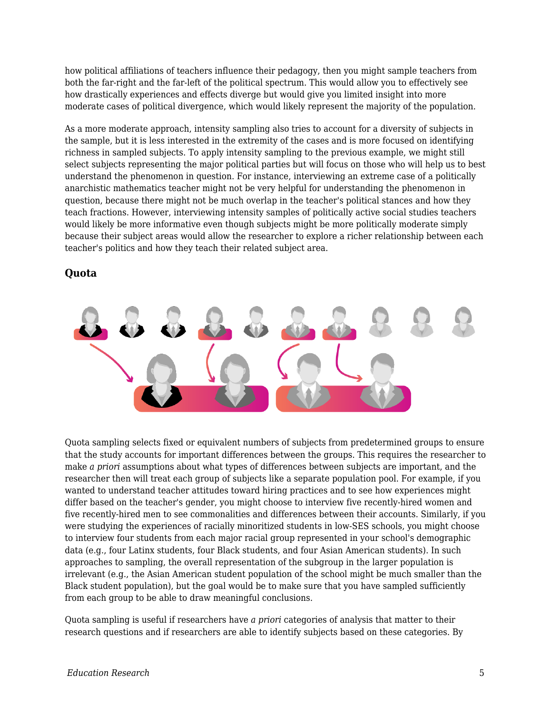how political affiliations of teachers influence their pedagogy, then you might sample teachers from both the far-right and the far-left of the political spectrum. This would allow you to effectively see how drastically experiences and effects diverge but would give you limited insight into more moderate cases of political divergence, which would likely represent the majority of the population.

As a more moderate approach, intensity sampling also tries to account for a diversity of subjects in the sample, but it is less interested in the extremity of the cases and is more focused on identifying richness in sampled subjects. To apply intensity sampling to the previous example, we might still select subjects representing the major political parties but will focus on those who will help us to best understand the phenomenon in question. For instance, interviewing an extreme case of a politically anarchistic mathematics teacher might not be very helpful for understanding the phenomenon in question, because there might not be much overlap in the teacher's political stances and how they teach fractions. However, interviewing intensity samples of politically active social studies teachers would likely be more informative even though subjects might be more politically moderate simply because their subject areas would allow the researcher to explore a richer relationship between each teacher's politics and how they teach their related subject area.



**Quota**

Quota sampling selects fixed or equivalent numbers of subjects from predetermined groups to ensure that the study accounts for important differences between the groups. This requires the researcher to make *a priori* assumptions about what types of differences between subjects are important, and the researcher then will treat each group of subjects like a separate population pool. For example, if you wanted to understand teacher attitudes toward hiring practices and to see how experiences might differ based on the teacher's gender, you might choose to interview five recently-hired women and five recently-hired men to see commonalities and differences between their accounts. Similarly, if you were studying the experiences of racially minoritized students in low-SES schools, you might choose to interview four students from each major racial group represented in your school's demographic data (e.g., four Latinx students, four Black students, and four Asian American students). In such approaches to sampling, the overall representation of the subgroup in the larger population is irrelevant (e.g., the Asian American student population of the school might be much smaller than the Black student population), but the goal would be to make sure that you have sampled sufficiently from each group to be able to draw meaningful conclusions.

Quota sampling is useful if researchers have *a priori* categories of analysis that matter to their research questions and if researchers are able to identify subjects based on these categories. By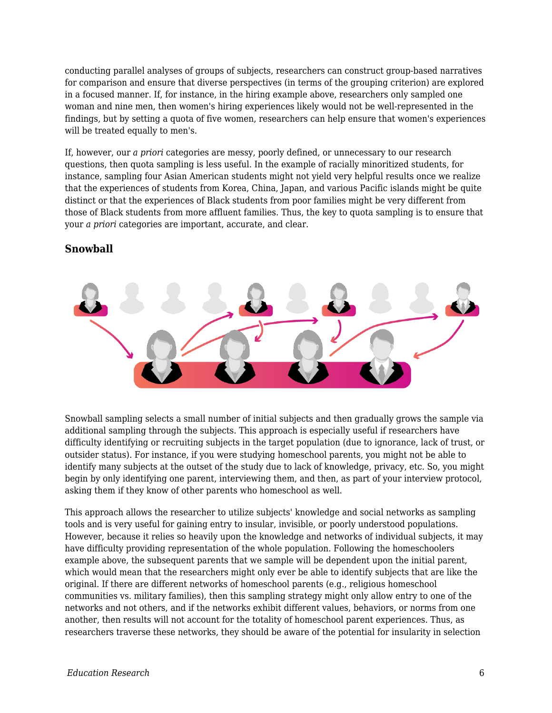conducting parallel analyses of groups of subjects, researchers can construct group-based narratives for comparison and ensure that diverse perspectives (in terms of the grouping criterion) are explored in a focused manner. If, for instance, in the hiring example above, researchers only sampled one woman and nine men, then women's hiring experiences likely would not be well-represented in the findings, but by setting a quota of five women, researchers can help ensure that women's experiences will be treated equally to men's.

If, however, our *a priori* categories are messy, poorly defined, or unnecessary to our research questions, then quota sampling is less useful. In the example of racially minoritized students, for instance, sampling four Asian American students might not yield very helpful results once we realize that the experiences of students from Korea, China, Japan, and various Pacific islands might be quite distinct or that the experiences of Black students from poor families might be very different from those of Black students from more affluent families. Thus, the key to quota sampling is to ensure that your *a priori* categories are important, accurate, and clear.

### **Snowball**



Snowball sampling selects a small number of initial subjects and then gradually grows the sample via additional sampling through the subjects. This approach is especially useful if researchers have difficulty identifying or recruiting subjects in the target population (due to ignorance, lack of trust, or outsider status). For instance, if you were studying homeschool parents, you might not be able to identify many subjects at the outset of the study due to lack of knowledge, privacy, etc. So, you might begin by only identifying one parent, interviewing them, and then, as part of your interview protocol, asking them if they know of other parents who homeschool as well.

This approach allows the researcher to utilize subjects' knowledge and social networks as sampling tools and is very useful for gaining entry to insular, invisible, or poorly understood populations. However, because it relies so heavily upon the knowledge and networks of individual subjects, it may have difficulty providing representation of the whole population. Following the homeschoolers example above, the subsequent parents that we sample will be dependent upon the initial parent, which would mean that the researchers might only ever be able to identify subjects that are like the original. If there are different networks of homeschool parents (e.g., religious homeschool communities vs. military families), then this sampling strategy might only allow entry to one of the networks and not others, and if the networks exhibit different values, behaviors, or norms from one another, then results will not account for the totality of homeschool parent experiences. Thus, as researchers traverse these networks, they should be aware of the potential for insularity in selection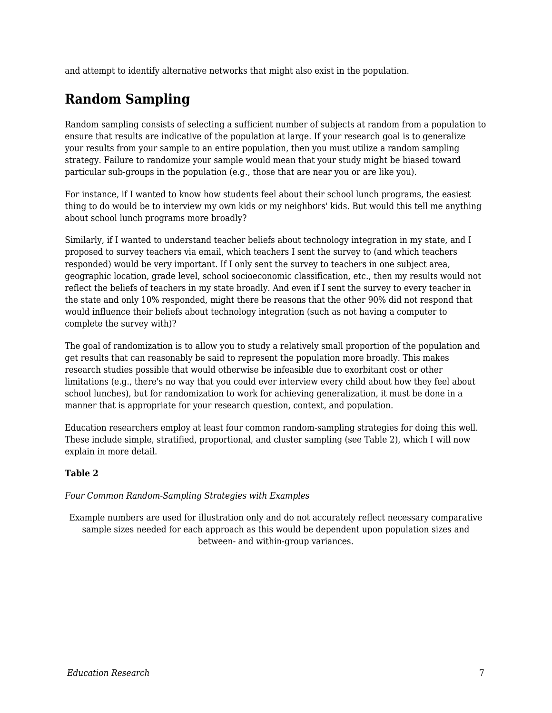and attempt to identify alternative networks that might also exist in the population.

## **Random Sampling**

Random sampling consists of selecting a sufficient number of subjects at random from a population to ensure that results are indicative of the population at large. If your research goal is to generalize your results from your sample to an entire population, then you must utilize a random sampling strategy. Failure to randomize your sample would mean that your study might be biased toward particular sub-groups in the population (e.g., those that are near you or are like you).

For instance, if I wanted to know how students feel about their school lunch programs, the easiest thing to do would be to interview my own kids or my neighbors' kids. But would this tell me anything about school lunch programs more broadly?

Similarly, if I wanted to understand teacher beliefs about technology integration in my state, and I proposed to survey teachers via email, which teachers I sent the survey to (and which teachers responded) would be very important. If I only sent the survey to teachers in one subject area, geographic location, grade level, school socioeconomic classification, etc., then my results would not reflect the beliefs of teachers in my state broadly. And even if I sent the survey to every teacher in the state and only 10% responded, might there be reasons that the other 90% did not respond that would influence their beliefs about technology integration (such as not having a computer to complete the survey with)?

The goal of randomization is to allow you to study a relatively small proportion of the population and get results that can reasonably be said to represent the population more broadly. This makes research studies possible that would otherwise be infeasible due to exorbitant cost or other limitations (e.g., there's no way that you could ever interview every child about how they feel about school lunches), but for randomization to work for achieving generalization, it must be done in a manner that is appropriate for your research question, context, and population.

Education researchers employ at least four common random-sampling strategies for doing this well. These include simple, stratified, proportional, and cluster sampling (see Table 2), which I will now explain in more detail.

### **Table 2**

*Four Common Random-Sampling Strategies with Examples*

Example numbers are used for illustration only and do not accurately reflect necessary comparative sample sizes needed for each approach as this would be dependent upon population sizes and between- and within-group variances.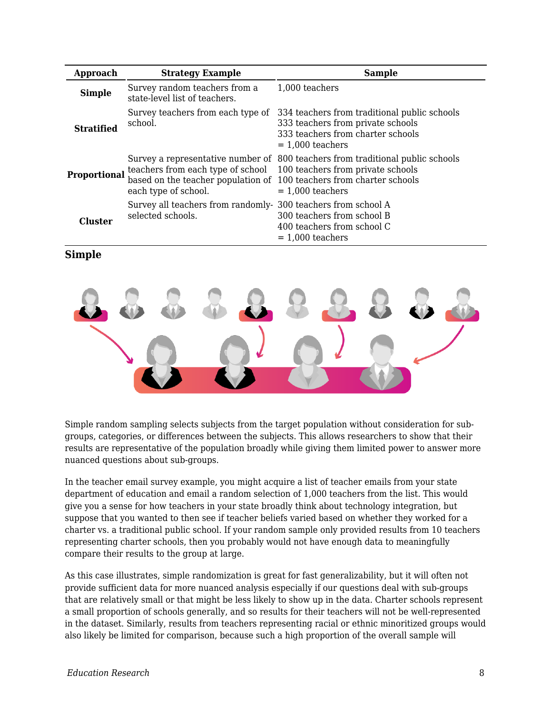| Approach            | <b>Strategy Example</b>                                                                                                           | <b>Sample</b>                                                                                                                                |
|---------------------|-----------------------------------------------------------------------------------------------------------------------------------|----------------------------------------------------------------------------------------------------------------------------------------------|
| <b>Simple</b>       | Survey random teachers from a<br>state-level list of teachers.                                                                    | 1,000 teachers                                                                                                                               |
| <b>Stratified</b>   | Survey teachers from each type of<br>school.                                                                                      | 334 teachers from traditional public schools<br>333 teachers from private schools<br>333 teachers from charter schools<br>$= 1,000$ teachers |
| <b>Proportional</b> | teachers from each type of school<br>based on the teacher population of 100 teachers from charter schools<br>each type of school. | Survey a representative number of 800 teachers from traditional public schools<br>100 teachers from private schools<br>$= 1,000$ teachers    |
| Cluster             | Survey all teachers from randomly- 300 teachers from school A<br>selected schools.                                                | 300 teachers from school B<br>400 teachers from school C<br>$= 1,000$ teachers                                                               |

#### **Simple**



Simple random sampling selects subjects from the target population without consideration for subgroups, categories, or differences between the subjects. This allows researchers to show that their results are representative of the population broadly while giving them limited power to answer more nuanced questions about sub-groups.

In the teacher email survey example, you might acquire a list of teacher emails from your state department of education and email a random selection of 1,000 teachers from the list. This would give you a sense for how teachers in your state broadly think about technology integration, but suppose that you wanted to then see if teacher beliefs varied based on whether they worked for a charter vs. a traditional public school. If your random sample only provided results from 10 teachers representing charter schools, then you probably would not have enough data to meaningfully compare their results to the group at large.

As this case illustrates, simple randomization is great for fast generalizability, but it will often not provide sufficient data for more nuanced analysis especially if our questions deal with sub-groups that are relatively small or that might be less likely to show up in the data. Charter schools represent a small proportion of schools generally, and so results for their teachers will not be well-represented in the dataset. Similarly, results from teachers representing racial or ethnic minoritized groups would also likely be limited for comparison, because such a high proportion of the overall sample will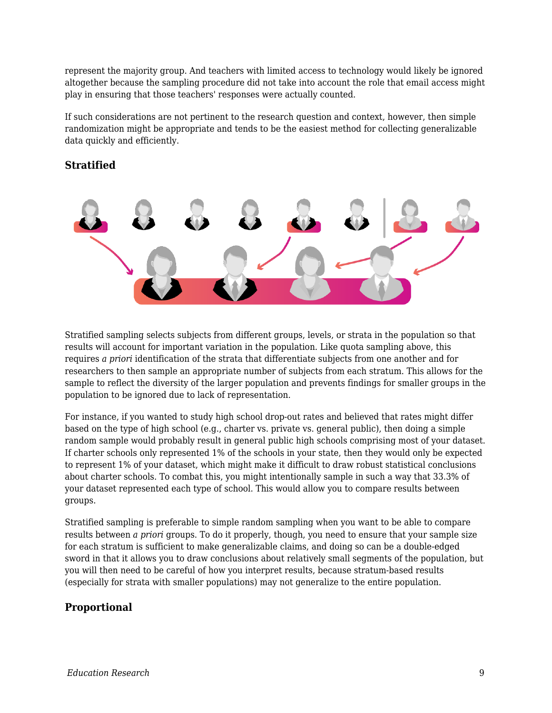represent the majority group. And teachers with limited access to technology would likely be ignored altogether because the sampling procedure did not take into account the role that email access might play in ensuring that those teachers' responses were actually counted.

If such considerations are not pertinent to the research question and context, however, then simple randomization might be appropriate and tends to be the easiest method for collecting generalizable data quickly and efficiently.

### **Stratified**



Stratified sampling selects subjects from different groups, levels, or strata in the population so that results will account for important variation in the population. Like quota sampling above, this requires *a priori* identification of the strata that differentiate subjects from one another and for researchers to then sample an appropriate number of subjects from each stratum. This allows for the sample to reflect the diversity of the larger population and prevents findings for smaller groups in the population to be ignored due to lack of representation.

For instance, if you wanted to study high school drop-out rates and believed that rates might differ based on the type of high school (e.g., charter vs. private vs. general public), then doing a simple random sample would probably result in general public high schools comprising most of your dataset. If charter schools only represented 1% of the schools in your state, then they would only be expected to represent 1% of your dataset, which might make it difficult to draw robust statistical conclusions about charter schools. To combat this, you might intentionally sample in such a way that 33.3% of your dataset represented each type of school. This would allow you to compare results between groups.

Stratified sampling is preferable to simple random sampling when you want to be able to compare results between *a priori* groups. To do it properly, though, you need to ensure that your sample size for each stratum is sufficient to make generalizable claims, and doing so can be a double-edged sword in that it allows you to draw conclusions about relatively small segments of the population, but you will then need to be careful of how you interpret results, because stratum-based results (especially for strata with smaller populations) may not generalize to the entire population.

### **Proportional**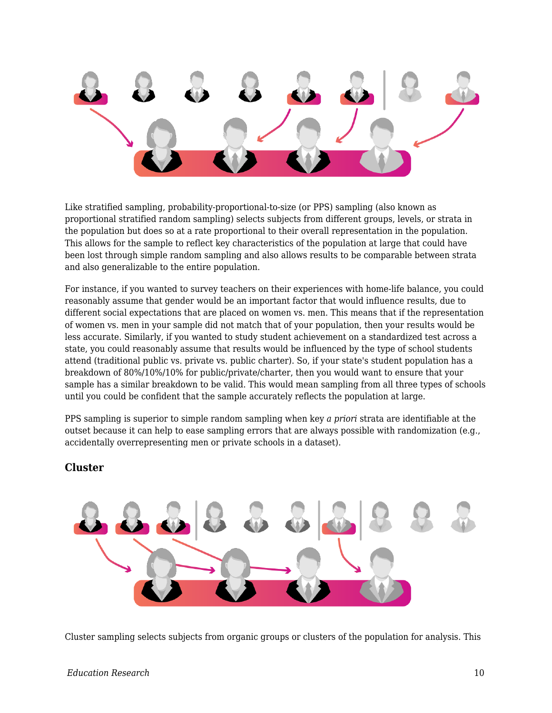

Like stratified sampling, probability-proportional-to-size (or PPS) sampling (also known as proportional stratified random sampling) selects subjects from different groups, levels, or strata in the population but does so at a rate proportional to their overall representation in the population. This allows for the sample to reflect key characteristics of the population at large that could have been lost through simple random sampling and also allows results to be comparable between strata and also generalizable to the entire population.

For instance, if you wanted to survey teachers on their experiences with home-life balance, you could reasonably assume that gender would be an important factor that would influence results, due to different social expectations that are placed on women vs. men. This means that if the representation of women vs. men in your sample did not match that of your population, then your results would be less accurate. Similarly, if you wanted to study student achievement on a standardized test across a state, you could reasonably assume that results would be influenced by the type of school students attend (traditional public vs. private vs. public charter). So, if your state's student population has a breakdown of 80%/10%/10% for public/private/charter, then you would want to ensure that your sample has a similar breakdown to be valid. This would mean sampling from all three types of schools until you could be confident that the sample accurately reflects the population at large.

PPS sampling is superior to simple random sampling when key *a priori* strata are identifiable at the outset because it can help to ease sampling errors that are always possible with randomization (e.g., accidentally overrepresenting men or private schools in a dataset).

### **Cluster**



Cluster sampling selects subjects from organic groups or clusters of the population for analysis. This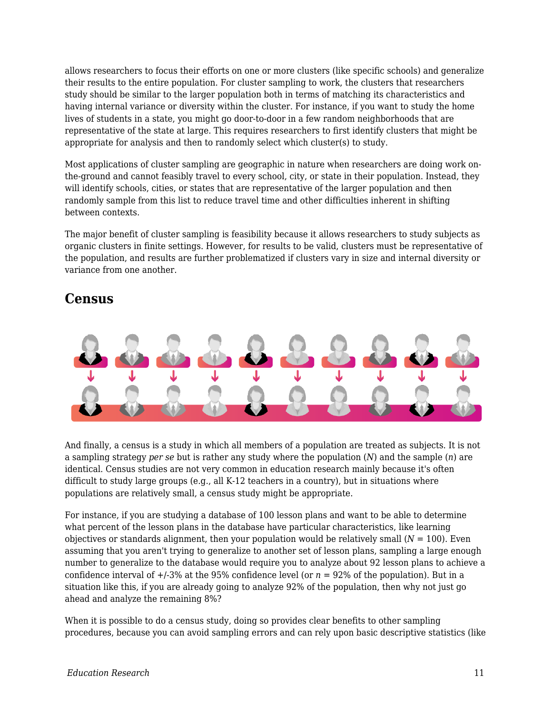allows researchers to focus their efforts on one or more clusters (like specific schools) and generalize their results to the entire population. For cluster sampling to work, the clusters that researchers study should be similar to the larger population both in terms of matching its characteristics and having internal variance or diversity within the cluster. For instance, if you want to study the home lives of students in a state, you might go door-to-door in a few random neighborhoods that are representative of the state at large. This requires researchers to first identify clusters that might be appropriate for analysis and then to randomly select which cluster(s) to study.

Most applications of cluster sampling are geographic in nature when researchers are doing work onthe-ground and cannot feasibly travel to every school, city, or state in their population. Instead, they will identify schools, cities, or states that are representative of the larger population and then randomly sample from this list to reduce travel time and other difficulties inherent in shifting between contexts.

The major benefit of cluster sampling is feasibility because it allows researchers to study subjects as organic clusters in finite settings. However, for results to be valid, clusters must be representative of the population, and results are further problematized if clusters vary in size and internal diversity or variance from one another.

### **Census**



And finally, a census is a study in which all members of a population are treated as subjects. It is not a sampling strategy *per se* but is rather any study where the population (*N*) and the sample (*n*) are identical. Census studies are not very common in education research mainly because it's often difficult to study large groups (e.g., all  $K-12$  teachers in a country), but in situations where populations are relatively small, a census study might be appropriate.

For instance, if you are studying a database of 100 lesson plans and want to be able to determine what percent of the lesson plans in the database have particular characteristics, like learning objectives or standards alignment, then your population would be relatively small  $(N = 100)$ . Even assuming that you aren't trying to generalize to another set of lesson plans, sampling a large enough number to generalize to the database would require you to analyze about 92 lesson plans to achieve a confidence interval of  $+/-3\%$  at the 95% confidence level (or  $n = 92\%$  of the population). But in a situation like this, if you are already going to analyze 92% of the population, then why not just go ahead and analyze the remaining 8%?

When it is possible to do a census study, doing so provides clear benefits to other sampling procedures, because you can avoid sampling errors and can rely upon basic descriptive statistics (like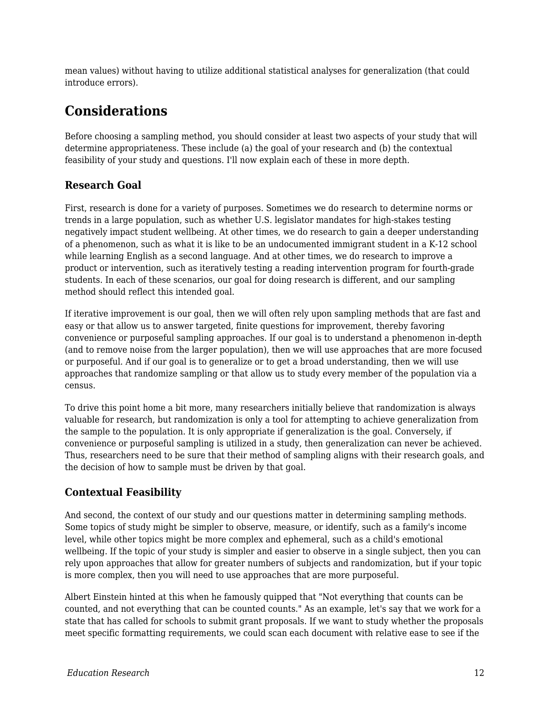mean values) without having to utilize additional statistical analyses for generalization (that could introduce errors).

### **Considerations**

Before choosing a sampling method, you should consider at least two aspects of your study that will determine appropriateness. These include (a) the goal of your research and (b) the contextual feasibility of your study and questions. I'll now explain each of these in more depth.

### **Research Goal**

First, research is done for a variety of purposes. Sometimes we do research to determine norms or trends in a large population, such as whether U.S. legislator mandates for high-stakes testing negatively impact student wellbeing. At other times, we do research to gain a deeper understanding of a phenomenon, such as what it is like to be an undocumented immigrant student in a K-12 school while learning English as a second language. And at other times, we do research to improve a product or intervention, such as iteratively testing a reading intervention program for fourth-grade students. In each of these scenarios, our goal for doing research is different, and our sampling method should reflect this intended goal.

If iterative improvement is our goal, then we will often rely upon sampling methods that are fast and easy or that allow us to answer targeted, finite questions for improvement, thereby favoring convenience or purposeful sampling approaches. If our goal is to understand a phenomenon in-depth (and to remove noise from the larger population), then we will use approaches that are more focused or purposeful. And if our goal is to generalize or to get a broad understanding, then we will use approaches that randomize sampling or that allow us to study every member of the population via a census.

To drive this point home a bit more, many researchers initially believe that randomization is always valuable for research, but randomization is only a tool for attempting to achieve generalization from the sample to the population. It is only appropriate if generalization is the goal. Conversely, if convenience or purposeful sampling is utilized in a study, then generalization can never be achieved. Thus, researchers need to be sure that their method of sampling aligns with their research goals, and the decision of how to sample must be driven by that goal.

### **Contextual Feasibility**

And second, the context of our study and our questions matter in determining sampling methods. Some topics of study might be simpler to observe, measure, or identify, such as a family's income level, while other topics might be more complex and ephemeral, such as a child's emotional wellbeing. If the topic of your study is simpler and easier to observe in a single subject, then you can rely upon approaches that allow for greater numbers of subjects and randomization, but if your topic is more complex, then you will need to use approaches that are more purposeful.

Albert Einstein hinted at this when he famously quipped that "Not everything that counts can be counted, and not everything that can be counted counts." As an example, let's say that we work for a state that has called for schools to submit grant proposals. If we want to study whether the proposals meet specific formatting requirements, we could scan each document with relative ease to see if the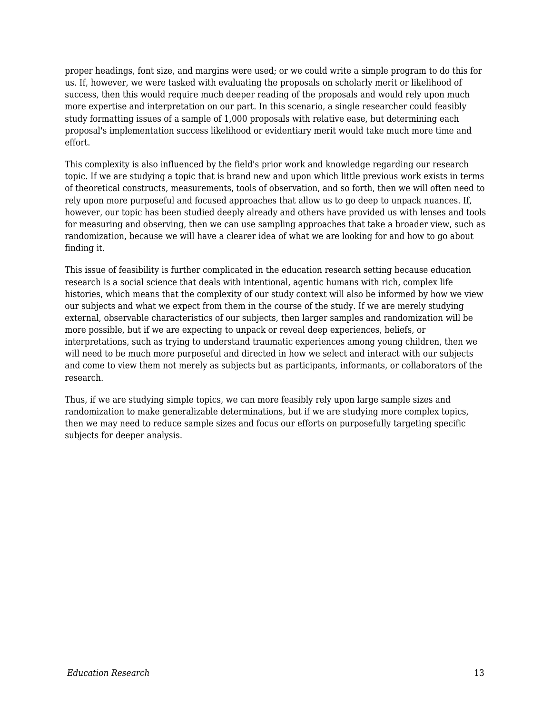proper headings, font size, and margins were used; or we could write a simple program to do this for us. If, however, we were tasked with evaluating the proposals on scholarly merit or likelihood of success, then this would require much deeper reading of the proposals and would rely upon much more expertise and interpretation on our part. In this scenario, a single researcher could feasibly study formatting issues of a sample of 1,000 proposals with relative ease, but determining each proposal's implementation success likelihood or evidentiary merit would take much more time and effort.

This complexity is also influenced by the field's prior work and knowledge regarding our research topic. If we are studying a topic that is brand new and upon which little previous work exists in terms of theoretical constructs, measurements, tools of observation, and so forth, then we will often need to rely upon more purposeful and focused approaches that allow us to go deep to unpack nuances. If, however, our topic has been studied deeply already and others have provided us with lenses and tools for measuring and observing, then we can use sampling approaches that take a broader view, such as randomization, because we will have a clearer idea of what we are looking for and how to go about finding it.

This issue of feasibility is further complicated in the education research setting because education research is a social science that deals with intentional, agentic humans with rich, complex life histories, which means that the complexity of our study context will also be informed by how we view our subjects and what we expect from them in the course of the study. If we are merely studying external, observable characteristics of our subjects, then larger samples and randomization will be more possible, but if we are expecting to unpack or reveal deep experiences, beliefs, or interpretations, such as trying to understand traumatic experiences among young children, then we will need to be much more purposeful and directed in how we select and interact with our subjects and come to view them not merely as subjects but as participants, informants, or collaborators of the research.

Thus, if we are studying simple topics, we can more feasibly rely upon large sample sizes and randomization to make generalizable determinations, but if we are studying more complex topics, then we may need to reduce sample sizes and focus our efforts on purposefully targeting specific subjects for deeper analysis.